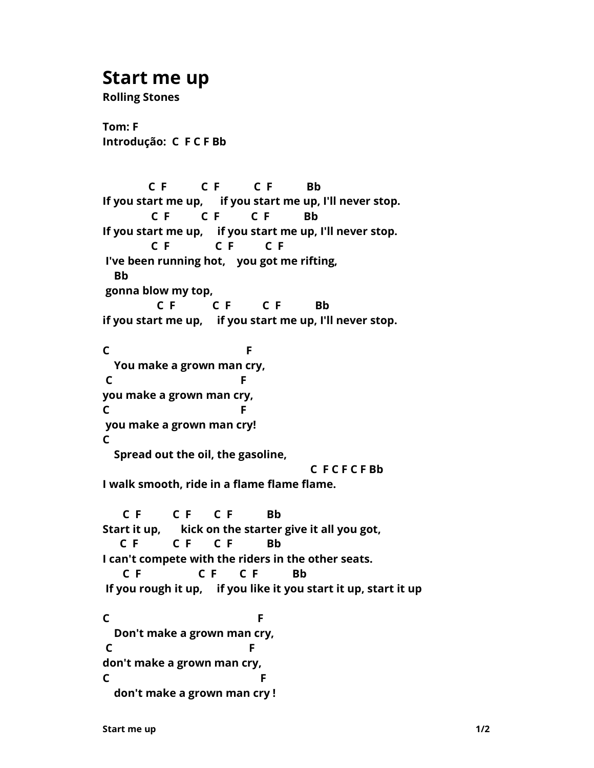## **Start me up**

**Rolling Stones**

**Tom: F Introdução: C F C F Bb** 

 **C F C F C F Bb If you start me up, if you start me up, I'll never stop. C F C F C F Bb If you start me up, if you start me up, I'll never stop. C F C F C F I've been running hot, you got me rifting, Bb gonna blow my top, C F C F C F Bb if you start me up, if you start me up, I'll never stop. C F You make a grown man cry, C** F **you make a grown man cry, C F you make a grown man cry! C Spread out the oil, the gasoline, C F C F C F Bb I walk smooth, ride in a flame flame flame. C F C F C F Bb Start it up, kick on the starter give it all you got, C F C F C F Bb I can't compete with the riders in the other seats. C F C F C F Bb If you rough it up, if you like it you start it up, start it up C F Don't make a grown man cry, C** F **don't make a grown man cry, C F don't make a grown man cry !**